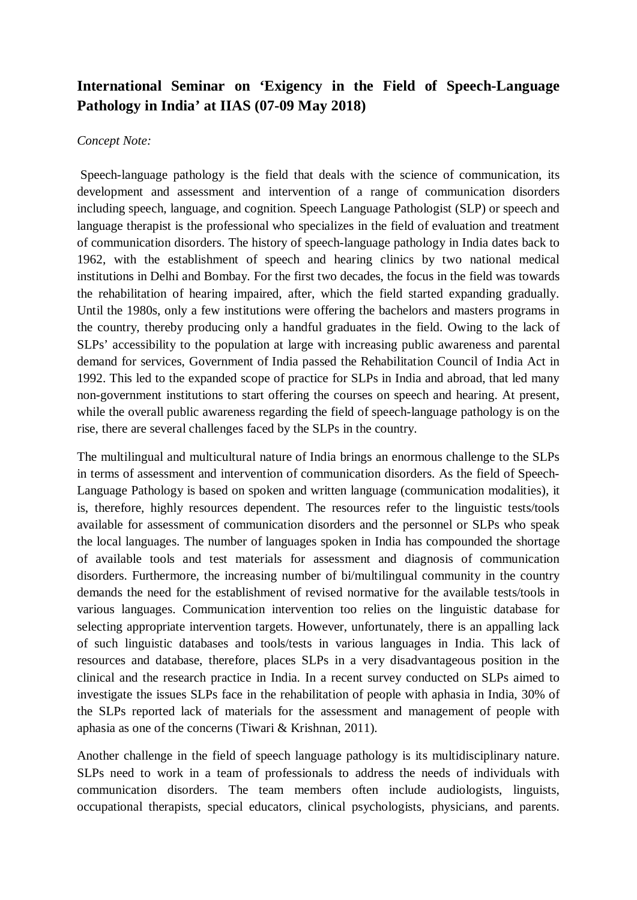## **International Seminar on 'Exigency in the Field of Speech-Language Pathology in India' at IIAS (07-09 May 2018)**

## *Concept Note:*

Speech-language pathology is the field that deals with the science of communication, its development and assessment and intervention of a range of communication disorders including speech, language, and cognition. Speech Language Pathologist (SLP) or speech and language therapist is the professional who specializes in the field of evaluation and treatment of communication disorders. The history of speech-language pathology in India dates back to 1962, with the establishment of speech and hearing clinics by two national medical institutions in Delhi and Bombay. For the first two decades, the focus in the field was towards the rehabilitation of hearing impaired, after, which the field started expanding gradually. Until the 1980s, only a few institutions were offering the bachelors and masters programs in the country, thereby producing only a handful graduates in the field. Owing to the lack of SLPs' accessibility to the population at large with increasing public awareness and parental demand for services, Government of India passed the Rehabilitation Council of India Act in 1992. This led to the expanded scope of practice for SLPs in India and abroad, that led many non-government institutions to start offering the courses on speech and hearing. At present, while the overall public awareness regarding the field of speech-language pathology is on the rise, there are several challenges faced by the SLPs in the country.

The multilingual and multicultural nature of India brings an enormous challenge to the SLPs in terms of assessment and intervention of communication disorders. As the field of Speech-Language Pathology is based on spoken and written language (communication modalities), it is, therefore, highly resources dependent. The resources refer to the linguistic tests/tools available for assessment of communication disorders and the personnel or SLPs who speak the local languages. The number of languages spoken in India has compounded the shortage of available tools and test materials for assessment and diagnosis of communication disorders. Furthermore, the increasing number of bi/multilingual community in the country demands the need for the establishment of revised normative for the available tests/tools in various languages. Communication intervention too relies on the linguistic database for selecting appropriate intervention targets. However, unfortunately, there is an appalling lack of such linguistic databases and tools/tests in various languages in India. This lack of resources and database, therefore, places SLPs in a very disadvantageous position in the clinical and the research practice in India. In a recent survey conducted on SLPs aimed to investigate the issues SLPs face in the rehabilitation of people with aphasia in India, 30% of the SLPs reported lack of materials for the assessment and management of people with aphasia as one of the concerns (Tiwari & Krishnan, 2011).

Another challenge in the field of speech language pathology is its multidisciplinary nature. SLPs need to work in a team of professionals to address the needs of individuals with communication disorders. The team members often include audiologists, linguists, occupational therapists, special educators, clinical psychologists, physicians, and parents.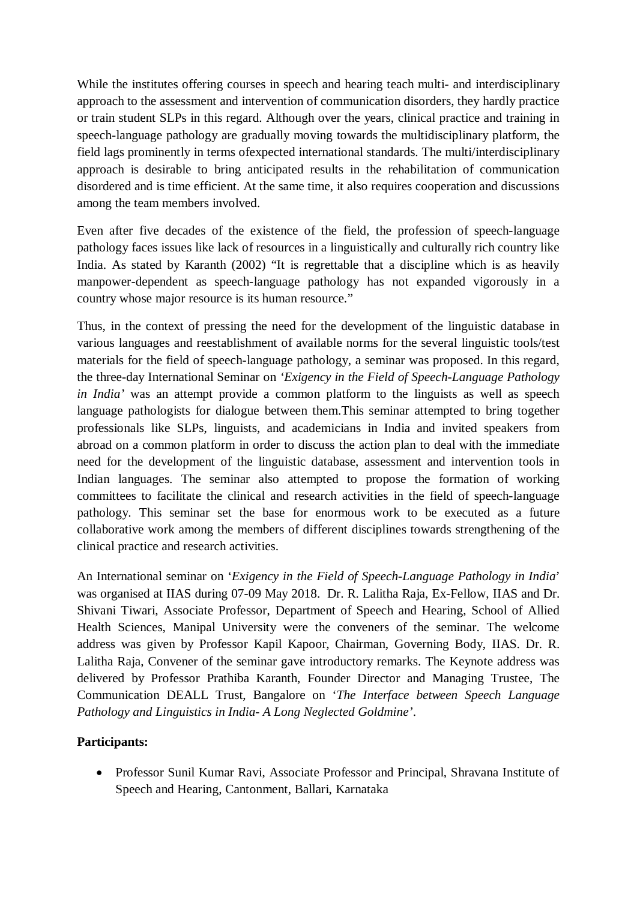While the institutes offering courses in speech and hearing teach multi- and interdisciplinary approach to the assessment and intervention of communication disorders, they hardly practice or train student SLPs in this regard. Although over the years, clinical practice and training in speech-language pathology are gradually moving towards the multidisciplinary platform, the field lags prominently in terms ofexpected international standards. The multi/interdisciplinary approach is desirable to bring anticipated results in the rehabilitation of communication disordered and is time efficient. At the same time, it also requires cooperation and discussions among the team members involved.

Even after five decades of the existence of the field, the profession of speech-language pathology faces issues like lack of resources in a linguistically and culturally rich country like India. As stated by Karanth (2002) "It is regrettable that a discipline which is as heavily manpower-dependent as speech-language pathology has not expanded vigorously in a country whose major resource is its human resource."

Thus, in the context of pressing the need for the development of the linguistic database in various languages and reestablishment of available norms for the several linguistic tools/test materials for the field of speech-language pathology, a seminar was proposed. In this regard, the three-day International Seminar on *'Exigency in the Field of Speech-Language Pathology in India'* was an attempt provide a common platform to the linguists as well as speech language pathologists for dialogue between them.This seminar attempted to bring together professionals like SLPs, linguists, and academicians in India and invited speakers from abroad on a common platform in order to discuss the action plan to deal with the immediate need for the development of the linguistic database, assessment and intervention tools in Indian languages. The seminar also attempted to propose the formation of working committees to facilitate the clinical and research activities in the field of speech-language pathology. This seminar set the base for enormous work to be executed as a future collaborative work among the members of different disciplines towards strengthening of the clinical practice and research activities.

An International seminar on '*Exigency in the Field of Speech-Language Pathology in India*' was organised at IIAS during 07-09 May 2018. Dr. R. Lalitha Raja, Ex-Fellow, IIAS and Dr. Shivani Tiwari, Associate Professor, Department of Speech and Hearing, School of Allied Health Sciences, Manipal University were the conveners of the seminar. The welcome address was given by Professor Kapil Kapoor, Chairman, Governing Body, IIAS. Dr. R. Lalitha Raja, Convener of the seminar gave introductory remarks. The Keynote address was delivered by Professor Prathiba Karanth, Founder Director and Managing Trustee, The Communication DEALL Trust, Bangalore on '*The Interface between Speech Language Pathology and Linguistics in India- A Long Neglected Goldmine'*.

## **Participants:**

• Professor Sunil Kumar Ravi, Associate Professor and Principal, Shravana Institute of Speech and Hearing, Cantonment, Ballari, Karnataka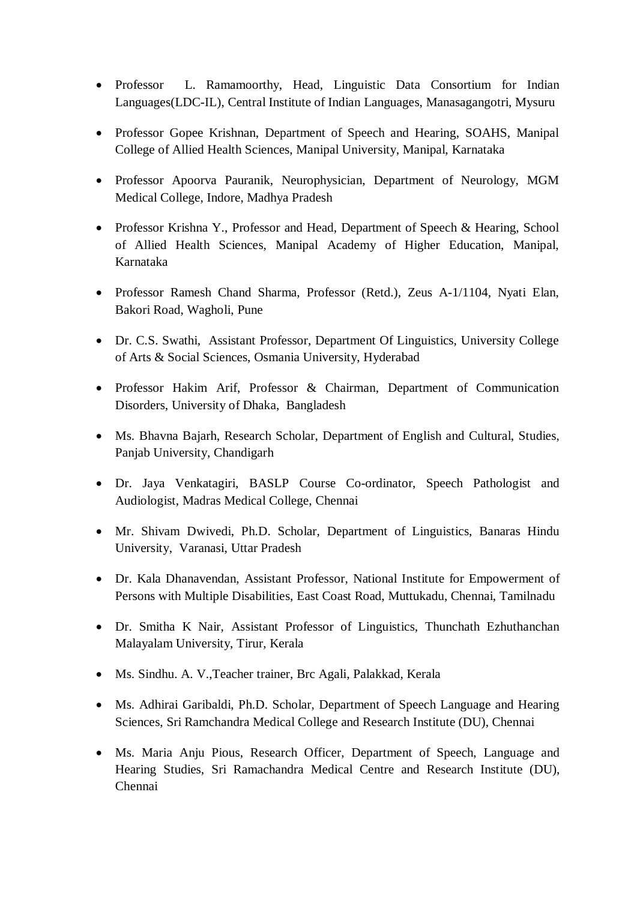- Professor L. Ramamoorthy, Head, Linguistic Data Consortium for Indian Languages(LDC-IL), Central Institute of Indian Languages, Manasagangotri, Mysuru
- Professor Gopee Krishnan, Department of Speech and Hearing, SOAHS, Manipal College of Allied Health Sciences, Manipal University, Manipal, Karnataka
- Professor Apoorva Pauranik, Neurophysician, Department of Neurology, MGM Medical College, Indore, Madhya Pradesh
- Professor Krishna Y., Professor and Head, Department of Speech & Hearing, School of Allied Health Sciences, Manipal Academy of Higher Education, Manipal, Karnataka
- Professor Ramesh Chand Sharma, Professor (Retd.), Zeus A-1/1104, Nyati Elan, Bakori Road, Wagholi, Pune
- Dr. C.S. Swathi, Assistant Professor, Department Of Linguistics, University College of Arts & Social Sciences, Osmania University, Hyderabad
- Professor Hakim Arif, Professor & Chairman, Department of Communication Disorders, University of Dhaka, Bangladesh
- Ms. Bhavna Bajarh, Research Scholar, Department of English and Cultural, Studies, Panjab University, Chandigarh
- Dr. Jaya Venkatagiri, BASLP Course Co-ordinator, Speech Pathologist and Audiologist, Madras Medical College, Chennai
- Mr. Shivam Dwivedi, Ph.D. Scholar, Department of Linguistics, Banaras Hindu University, Varanasi, Uttar Pradesh
- Dr. Kala Dhanavendan, Assistant Professor, National Institute for Empowerment of Persons with Multiple Disabilities, East Coast Road, Muttukadu, Chennai, Tamilnadu
- Dr. Smitha K Nair, Assistant Professor of Linguistics, Thunchath Ezhuthanchan Malayalam University, Tirur, Kerala
- Ms. Sindhu. A. V.,Teacher trainer, Brc Agali, Palakkad, Kerala
- Ms. Adhirai Garibaldi, Ph.D. Scholar, Department of Speech Language and Hearing Sciences, Sri Ramchandra Medical College and Research Institute (DU), Chennai
- Ms. Maria Anju Pious, Research Officer, Department of Speech, Language and Hearing Studies, Sri Ramachandra Medical Centre and Research Institute (DU), Chennai